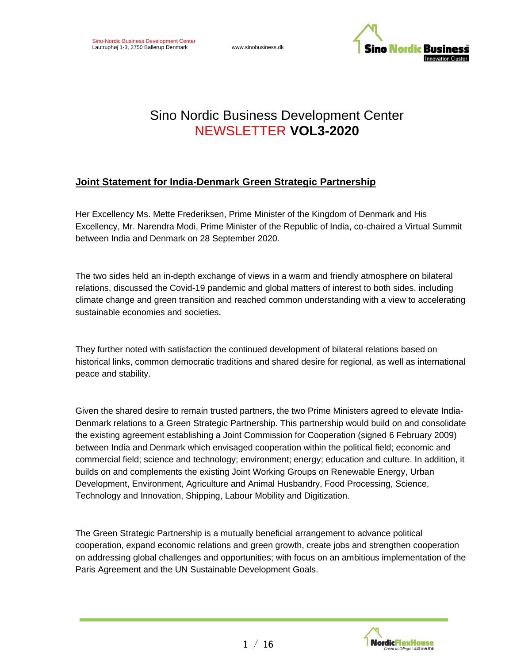

# Sino Nordic Business Development Center NEWSLETTER **VOL3-2020**

# **Joint Statement for India-Denmark Green Strategic Partnership**

Her Excellency Ms. Mette Frederiksen, Prime Minister of the Kingdom of Denmark and His Excellency, Mr. Narendra Modi, Prime Minister of the Republic of India, co-chaired a Virtual Summit between India and Denmark on 28 September 2020.

The two sides held an in-depth exchange of views in a warm and friendly atmosphere on bilateral relations, discussed the Covid-19 pandemic and global matters of interest to both sides, including climate change and green transition and reached common understanding with a view to accelerating sustainable economies and societies.

They further noted with satisfaction the continued development of bilateral relations based on historical links, common democratic traditions and shared desire for regional, as well as international peace and stability.

Given the shared desire to remain trusted partners, the two Prime Ministers agreed to elevate India-Denmark relations to a Green Strategic Partnership. This partnership would build on and consolidate the existing agreement establishing a Joint Commission for Cooperation (signed 6 February 2009) between India and Denmark which envisaged cooperation within the political field; economic and commercial field; science and technology; environment; energy; education and culture. In addition, it builds on and complements the existing Joint Working Groups on Renewable Energy, Urban Development, Environment, Agriculture and Animal Husbandry, Food Processing, Science, Technology and Innovation, Shipping, Labour Mobility and Digitization.

The Green Strategic Partnership is a mutually beneficial arrangement to advance political cooperation, expand economic relations and green growth, create jobs and strengthen cooperation on addressing global challenges and opportunities; with focus on an ambitious implementation of the Paris Agreement and the UN Sustainable Development Goals.

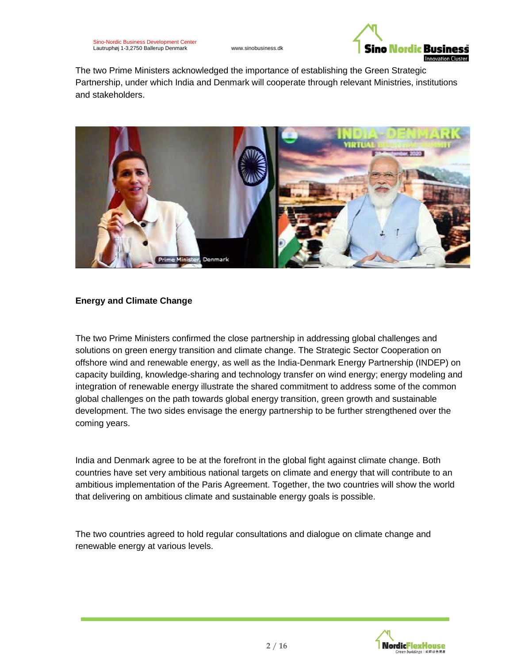

The two Prime Ministers acknowledged the importance of establishing the Green Strategic Partnership, under which India and Denmark will cooperate through relevant Ministries, institutions and stakeholders.



### **Energy and Climate Change**

The two Prime Ministers confirmed the close partnership in addressing global challenges and solutions on green energy transition and climate change. The Strategic Sector Cooperation on offshore wind and renewable energy, as well as the India-Denmark Energy Partnership (INDEP) on capacity building, knowledge-sharing and technology transfer on wind energy; energy modeling and integration of renewable energy illustrate the shared commitment to address some of the common global challenges on the path towards global energy transition, green growth and sustainable development. The two sides envisage the energy partnership to be further strengthened over the coming years.

India and Denmark agree to be at the forefront in the global fight against climate change. Both countries have set very ambitious national targets on climate and energy that will contribute to an ambitious implementation of the Paris Agreement. Together, the two countries will show the world that delivering on ambitious climate and sustainable energy goals is possible.

The two countries agreed to hold regular consultations and dialogue on climate change and renewable energy at various levels.

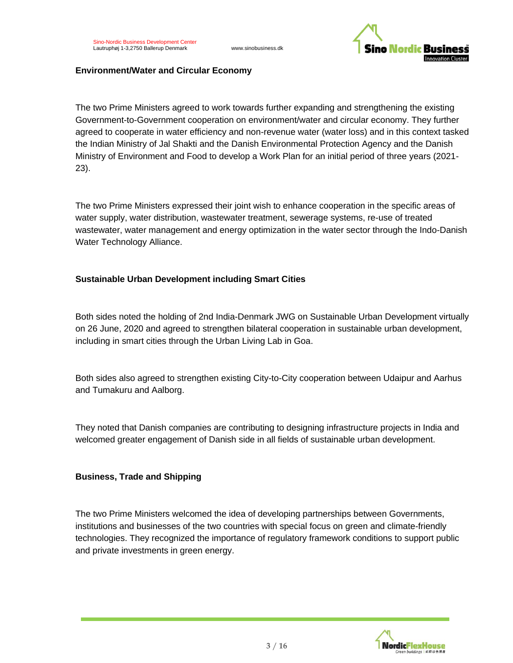

#### **Environment/Water and Circular Economy**

The two Prime Ministers agreed to work towards further expanding and strengthening the existing Government-to-Government cooperation on environment/water and circular economy. They further agreed to cooperate in water efficiency and non-revenue water (water loss) and in this context tasked the Indian Ministry of Jal Shakti and the Danish Environmental Protection Agency and the Danish Ministry of Environment and Food to develop a Work Plan for an initial period of three years (2021- 23).

The two Prime Ministers expressed their joint wish to enhance cooperation in the specific areas of water supply, water distribution, wastewater treatment, sewerage systems, re-use of treated wastewater, water management and energy optimization in the water sector through the Indo-Danish Water Technology Alliance.

#### **Sustainable Urban Development including Smart Cities**

Both sides noted the holding of 2nd India-Denmark JWG on Sustainable Urban Development virtually on 26 June, 2020 and agreed to strengthen bilateral cooperation in sustainable urban development, including in smart cities through the Urban Living Lab in Goa.

Both sides also agreed to strengthen existing City-to-City cooperation between Udaipur and Aarhus and Tumakuru and Aalborg.

They noted that Danish companies are contributing to designing infrastructure projects in India and welcomed greater engagement of Danish side in all fields of sustainable urban development.

#### **Business, Trade and Shipping**

The two Prime Ministers welcomed the idea of developing partnerships between Governments, institutions and businesses of the two countries with special focus on green and climate-friendly technologies. They recognized the importance of regulatory framework conditions to support public and private investments in green energy.

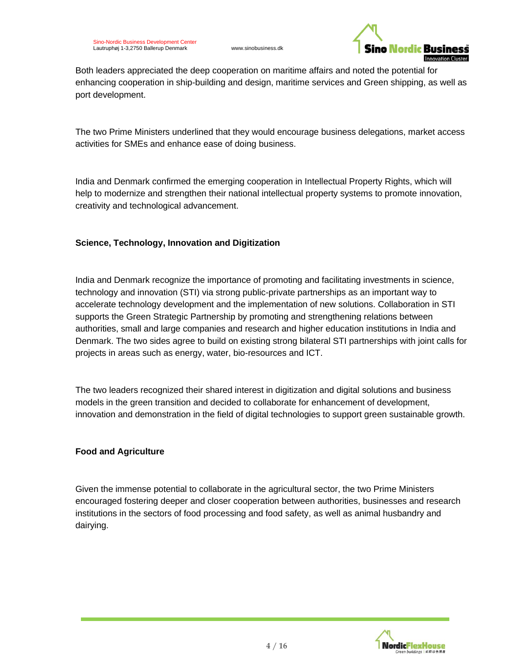

Both leaders appreciated the deep cooperation on maritime affairs and noted the potential for enhancing cooperation in ship-building and design, maritime services and Green shipping, as well as port development.

The two Prime Ministers underlined that they would encourage business delegations, market access activities for SMEs and enhance ease of doing business.

India and Denmark confirmed the emerging cooperation in Intellectual Property Rights, which will help to modernize and strengthen their national intellectual property systems to promote innovation, creativity and technological advancement.

### **Science, Technology, Innovation and Digitization**

India and Denmark recognize the importance of promoting and facilitating investments in science, technology and innovation (STI) via strong public-private partnerships as an important way to accelerate technology development and the implementation of new solutions. Collaboration in STI supports the Green Strategic Partnership by promoting and strengthening relations between authorities, small and large companies and research and higher education institutions in India and Denmark. The two sides agree to build on existing strong bilateral STI partnerships with joint calls for projects in areas such as energy, water, bio-resources and ICT.

The two leaders recognized their shared interest in digitization and digital solutions and business models in the green transition and decided to collaborate for enhancement of development, innovation and demonstration in the field of digital technologies to support green sustainable growth.

### **Food and Agriculture**

Given the immense potential to collaborate in the agricultural sector, the two Prime Ministers encouraged fostering deeper and closer cooperation between authorities, businesses and research institutions in the sectors of food processing and food safety, as well as animal husbandry and dairying.

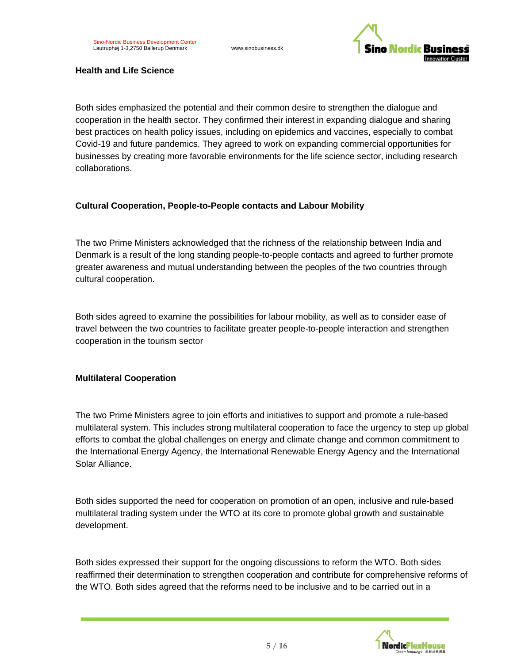

#### **Health and Life Science**

Both sides emphasized the potential and their common desire to strengthen the dialogue and cooperation in the health sector. They confirmed their interest in expanding dialogue and sharing best practices on health policy issues, including on epidemics and vaccines, especially to combat Covid-19 and future pandemics. They agreed to work on expanding commercial opportunities for businesses by creating more favorable environments for the life science sector, including research collaborations.

### **Cultural Cooperation, People-to-People contacts and Labour Mobility**

The two Prime Ministers acknowledged that the richness of the relationship between India and Denmark is a result of the long standing people-to-people contacts and agreed to further promote greater awareness and mutual understanding between the peoples of the two countries through cultural cooperation.

Both sides agreed to examine the possibilities for labour mobility, as well as to consider ease of travel between the two countries to facilitate greater people-to-people interaction and strengthen cooperation in the tourism sector

### **Multilateral Cooperation**

The two Prime Ministers agree to join efforts and initiatives to support and promote a rule-based multilateral system. This includes strong multilateral cooperation to face the urgency to step up global efforts to combat the global challenges on energy and climate change and common commitment to the International Energy Agency, the International Renewable Energy Agency and the International Solar Alliance.

Both sides supported the need for cooperation on promotion of an open, inclusive and rule-based multilateral trading system under the WTO at its core to promote global growth and sustainable development.

Both sides expressed their support for the ongoing discussions to reform the WTO. Both sides reaffirmed their determination to strengthen cooperation and contribute for comprehensive reforms of the WTO. Both sides agreed that the reforms need to be inclusive and to be carried out in a

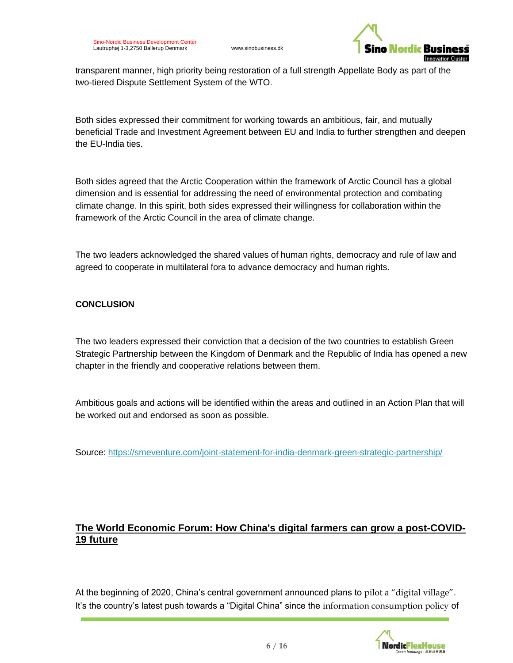

transparent manner, high priority being restoration of a full strength Appellate Body as part of the two-tiered Dispute Settlement System of the WTO.

Both sides expressed their commitment for working towards an ambitious, fair, and mutually beneficial Trade and Investment Agreement between EU and India to further strengthen and deepen the EU-India ties.

Both sides agreed that the Arctic Cooperation within the framework of Arctic Council has a global dimension and is essential for addressing the need of environmental protection and combating climate change. In this spirit, both sides expressed their willingness for collaboration within the framework of the Arctic Council in the area of climate change.

The two leaders acknowledged the shared values of human rights, democracy and rule of law and agreed to cooperate in multilateral fora to advance democracy and human rights.

### **CONCLUSION**

The two leaders expressed their conviction that a decision of the two countries to establish Green Strategic Partnership between the Kingdom of Denmark and the Republic of India has opened a new chapter in the friendly and cooperative relations between them.

Ambitious goals and actions will be identified within the areas and outlined in an Action Plan that will be worked out and endorsed as soon as possible.

Source: <https://smeventure.com/joint-statement-for-india-denmark-green-strategic-partnership/>

# **The World Economic Forum: How China's digital farmers can grow a post-COVID-19 future**

At the beginning of 2020, China's central government announced plans to [pilot a "digital village"](https://global.chinadaily.com.cn/a/202007/20/WS5f14fdd3a31083481725aaa8.html). It's the country's latest push towards a "Digital China" since the information [consumption policy](https://www.amazon.com/Chinas-Mobile-Economy-Opportunities-Information/dp/1119127238/ref=sr_1_2?dchild=1&qid=1601927391&refinements=p_27%3AWinston+Ma&s=books&sr=1-2&text=Winston+Ma) of

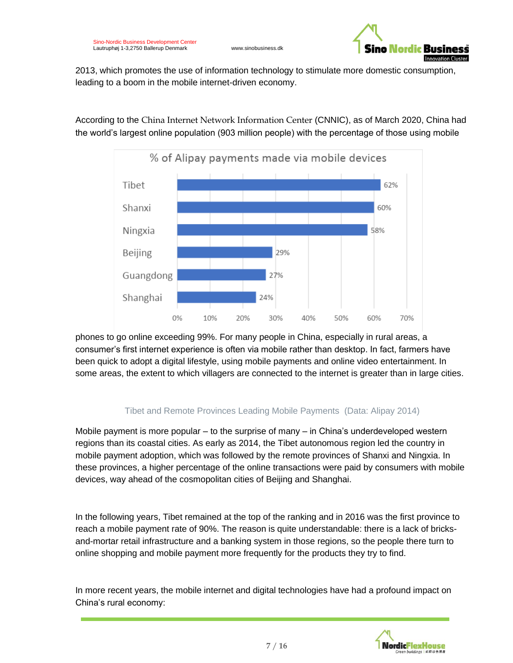

2013, which promotes the use of information technology to stimulate more domestic consumption, leading to a boom in the mobile internet-driven economy.

According to the China Internet [Network Information Center](https://cnnic.com.cn/) (CNNIC), as of March 2020, China had the world's largest online population (903 million people) with the percentage of those using mobile



phones to go online exceeding 99%. For many people in China, especially in rural areas, a consumer's first internet experience is often via mobile rather than desktop. In fact, farmers have been quick to adopt a digital lifestyle, using mobile payments and online video entertainment. In some areas, the extent to which villagers are connected to the internet is greater than in large cities.

### Tibet and Remote Provinces Leading Mobile Payments (Data: Alipay 2014)

Mobile payment is more popular – to the surprise of many – in China's underdeveloped western regions than its coastal cities. As early as 2014, the Tibet autonomous region led the country in mobile payment adoption, which was followed by the remote provinces of Shanxi and Ningxia. In these provinces, a higher percentage of the online transactions were paid by consumers with mobile devices, way ahead of the cosmopolitan cities of Beijing and Shanghai.

In the following years, [Tibet remained at the top of the ranking and in 2016 was the first province to](http://m.eng.tibet.cn/economy/news/1515479900257.shtml)  [reach a mobile payment rate of 90%.](http://m.eng.tibet.cn/economy/news/1515479900257.shtml) The reason is quite understandable: there is a lack of bricksand-mortar retail infrastructure and a banking system in those regions, so the people there turn to online shopping and mobile payment more frequently for the products they try to find.

In more recent years, the mobile internet and digital technologies have had a profound impact on China's rural economy:

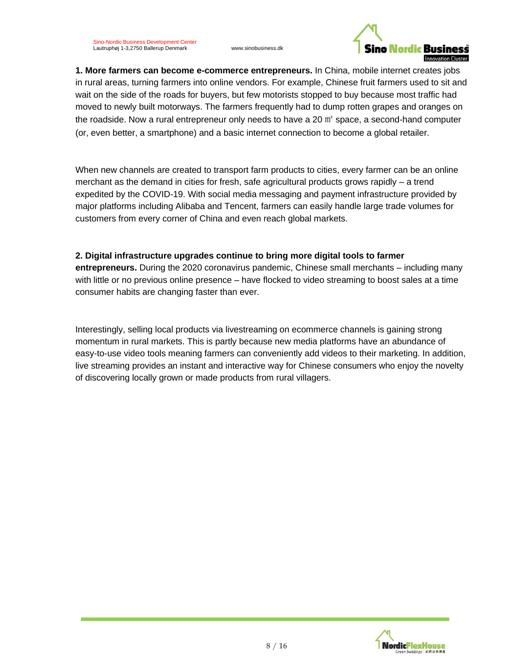

**1. More farmers can become e-commerce entrepreneurs.** In China, mobile internet creates jobs in rural areas, turning farmers into online vendors. For example, Chinese fruit farmers used to sit and wait on the side of the roads for buyers, but few motorists stopped to buy because most traffic had moved to newly built motorways. The farmers frequently had to dump rotten grapes and oranges on the roadside. Now a rural entrepreneur only needs to have a 20  $\mathrm{m}^2$  space, a second-hand computer (or, even better, a smartphone) and a basic internet connection to become a global retailer.

When new channels are created to transport farm products to cities, every farmer can be an online merchant as the demand in cities for fresh, safe agricultural products grows rapidly – a trend expedited by the COVID-19. With social media messaging and payment infrastructure provided by major platforms including Alibaba and Tencent, farmers can easily handle large trade volumes for customers from every corner of China and even reach global markets.

### **2. Digital infrastructure upgrades continue to bring more digital tools to farmer**

**entrepreneurs.** During the 2020 coronavirus pandemic, Chinese small merchants – including many with little or no previous online presence – have flocked to video streaming to boost sales at a time consumer habits are changing faster than ever.

Interestingly, selling local products via livestreaming on ecommerce channels is gaining strong momentum in rural markets. This is partly because new media platforms have an abundance of easy-to-use video tools meaning farmers can conveniently add videos to their marketing. In addition, live streaming provides an instant and interactive way for Chinese consumers who enjoy the novelty of discovering locally grown or made products from rural villagers.

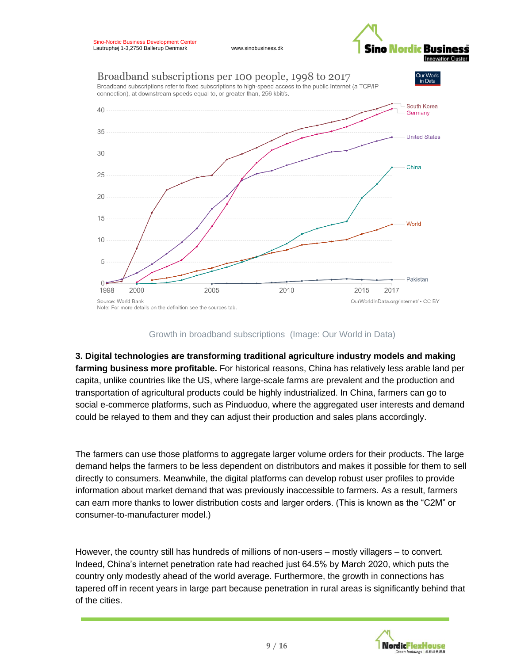



#### Growth in broadband subscriptions (Image: Our World in Data)

**3. Digital technologies are transforming traditional agriculture industry models and making farming business more profitable.** For historical reasons, China has relatively less arable land per capita, unlike countries like the US, where large-scale farms are prevalent and the production and transportation of agricultural products could be highly industrialized. In China, farmers can go to social e-commerce platforms, such as Pinduoduo, where the aggregated user interests and demand could be relayed to them and they can adjust their production and sales plans accordingly.

The farmers can use those platforms to aggregate larger volume orders for their products. The large demand helps the farmers to be less dependent on distributors and makes it possible for them to sell directly to consumers. Meanwhile, the digital platforms can develop robust user profiles to provide information about market demand that was previously inaccessible to farmers. As a result, farmers can earn more thanks to lower distribution costs and larger orders. (This is known as the "C2M" or consumer-to-manufacturer model.)

However, the country still has hundreds of millions of non-users – mostly villagers – to convert. Indeed, China's internet penetration rate had reached just 64.5% by March 2020, which puts the country only modestly ahead of the world average. Furthermore, the growth in connections has tapered off in recent years in large part because penetration in rural areas is significantly behind that of the cities.

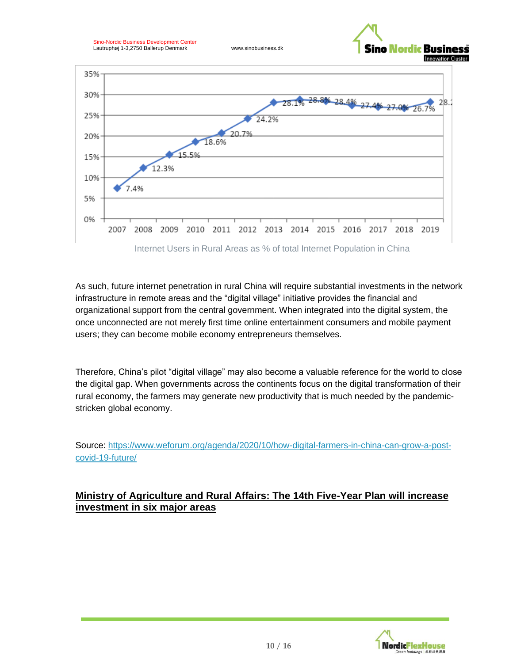



As such, future internet penetration in rural China will require substantial investments in the network infrastructure in remote areas and the "digital village" initiative provides the financial and organizational support from the central government. When integrated into the digital system, the once unconnected are not merely first time online entertainment consumers and mobile payment users; they can become mobile economy entrepreneurs themselves.

Therefore, China's pilot "digital village" may also become a valuable reference for the world to close the digital gap. When governments across the continents focus on the digital transformation of their rural economy, the farmers may generate new productivity that is much needed by the pandemicstricken global economy.

Source: [https://www.weforum.org/agenda/2020/10/how-digital-farmers-in-china-can-grow-a-post](https://www.weforum.org/agenda/2020/10/how-digital-farmers-in-china-can-grow-a-post-covid-19-future/)[covid-19-future/](https://www.weforum.org/agenda/2020/10/how-digital-farmers-in-china-can-grow-a-post-covid-19-future/)

### **Ministry of Agriculture and Rural Affairs: The 14th Five-Year Plan will increase investment in six major areas**

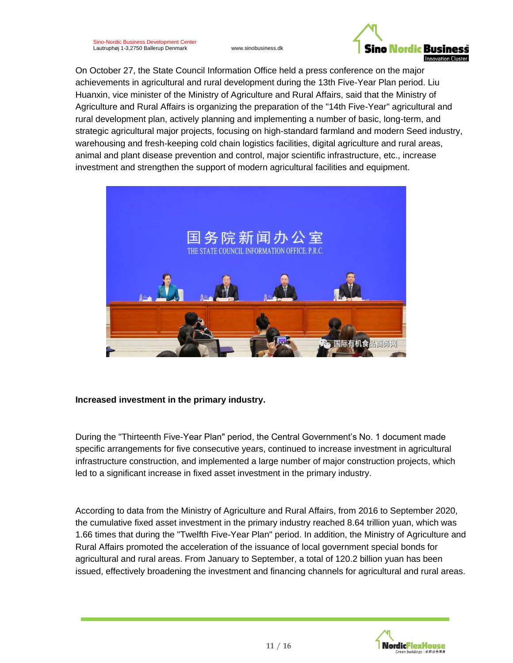

On October 27, the State Council Information Office held a press conference on the major achievements in agricultural and rural development during the 13th Five-Year Plan period. Liu Huanxin, vice minister of the Ministry of Agriculture and Rural Affairs, said that the Ministry of Agriculture and Rural Affairs is organizing the preparation of the "14th Five-Year" agricultural and rural development plan, actively planning and implementing a number of basic, long-term, and strategic agricultural major projects, focusing on high-standard farmland and modern Seed industry, warehousing and fresh-keeping cold chain logistics facilities, digital agriculture and rural areas, animal and plant disease prevention and control, major scientific infrastructure, etc., increase investment and strengthen the support of modern agricultural facilities and equipment.



### **Increased investment in the primary industry.**

During the "Thirteenth Five-Year Plan" period, the Central Government's No. 1 document made specific arrangements for five consecutive years, continued to increase investment in agricultural infrastructure construction, and implemented a large number of major construction projects, which led to a significant increase in fixed asset investment in the primary industry.

According to data from the Ministry of Agriculture and Rural Affairs, from 2016 to September 2020, the cumulative fixed asset investment in the primary industry reached 8.64 trillion yuan, which was 1.66 times that during the "Twelfth Five-Year Plan" period. In addition, the Ministry of Agriculture and Rural Affairs promoted the acceleration of the issuance of local government special bonds for agricultural and rural areas. From January to September, a total of 120.2 billion yuan has been issued, effectively broadening the investment and financing channels for agricultural and rural areas.

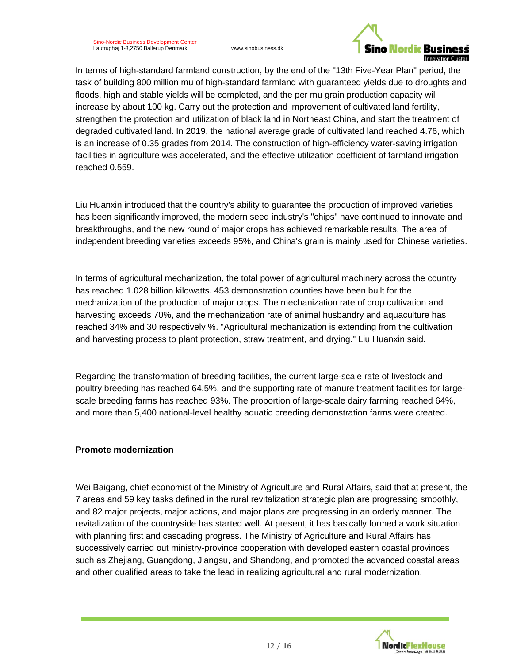

In terms of high-standard farmland construction, by the end of the "13th Five-Year Plan" period, the task of building 800 million mu of high-standard farmland with guaranteed yields due to droughts and floods, high and stable yields will be completed, and the per mu grain production capacity will increase by about 100 kg. Carry out the protection and improvement of cultivated land fertility, strengthen the protection and utilization of black land in Northeast China, and start the treatment of degraded cultivated land. In 2019, the national average grade of cultivated land reached 4.76, which is an increase of 0.35 grades from 2014. The construction of high-efficiency water-saving irrigation facilities in agriculture was accelerated, and the effective utilization coefficient of farmland irrigation reached 0.559.

Liu Huanxin introduced that the country's ability to guarantee the production of improved varieties has been significantly improved, the modern seed industry's "chips" have continued to innovate and breakthroughs, and the new round of major crops has achieved remarkable results. The area of independent breeding varieties exceeds 95%, and China's grain is mainly used for Chinese varieties.

In terms of agricultural mechanization, the total power of agricultural machinery across the country has reached 1.028 billion kilowatts. 453 demonstration counties have been built for the mechanization of the production of major crops. The mechanization rate of crop cultivation and harvesting exceeds 70%, and the mechanization rate of animal husbandry and aquaculture has reached 34% and 30 respectively %. "Agricultural mechanization is extending from the cultivation and harvesting process to plant protection, straw treatment, and drying." Liu Huanxin said.

Regarding the transformation of breeding facilities, the current large-scale rate of livestock and poultry breeding has reached 64.5%, and the supporting rate of manure treatment facilities for largescale breeding farms has reached 93%. The proportion of large-scale dairy farming reached 64%, and more than 5,400 national-level healthy aquatic breeding demonstration farms were created.

### **Promote modernization**

Wei Baigang, chief economist of the Ministry of Agriculture and Rural Affairs, said that at present, the 7 areas and 59 key tasks defined in the rural revitalization strategic plan are progressing smoothly, and 82 major projects, major actions, and major plans are progressing in an orderly manner. The revitalization of the countryside has started well. At present, it has basically formed a work situation with planning first and cascading progress. The Ministry of Agriculture and Rural Affairs has successively carried out ministry-province cooperation with developed eastern coastal provinces such as Zhejiang, Guangdong, Jiangsu, and Shandong, and promoted the advanced coastal areas and other qualified areas to take the lead in realizing agricultural and rural modernization.

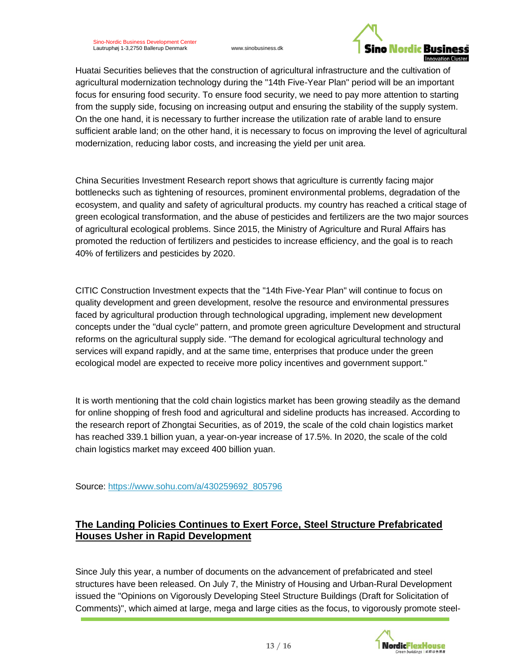

Huatai Securities believes that the construction of agricultural infrastructure and the cultivation of agricultural modernization technology during the "14th Five-Year Plan" period will be an important focus for ensuring food security. To ensure food security, we need to pay more attention to starting from the supply side, focusing on increasing output and ensuring the stability of the supply system. On the one hand, it is necessary to further increase the utilization rate of arable land to ensure sufficient arable land; on the other hand, it is necessary to focus on improving the level of agricultural modernization, reducing labor costs, and increasing the yield per unit area.

China Securities Investment Research report shows that agriculture is currently facing major bottlenecks such as tightening of resources, prominent environmental problems, degradation of the ecosystem, and quality and safety of agricultural products. my country has reached a critical stage of green ecological transformation, and the abuse of pesticides and fertilizers are the two major sources of agricultural ecological problems. Since 2015, the Ministry of Agriculture and Rural Affairs has promoted the reduction of fertilizers and pesticides to increase efficiency, and the goal is to reach 40% of fertilizers and pesticides by 2020.

CITIC Construction Investment expects that the "14th Five-Year Plan" will continue to focus on quality development and green development, resolve the resource and environmental pressures faced by agricultural production through technological upgrading, implement new development concepts under the "dual cycle" pattern, and promote green agriculture Development and structural reforms on the agricultural supply side. "The demand for ecological agricultural technology and services will expand rapidly, and at the same time, enterprises that produce under the green ecological model are expected to receive more policy incentives and government support."

It is worth mentioning that the cold chain logistics market has been growing steadily as the demand for online shopping of fresh food and agricultural and sideline products has increased. According to the research report of Zhongtai Securities, as of 2019, the scale of the cold chain logistics market has reached 339.1 billion yuan, a year-on-year increase of 17.5%. In 2020, the scale of the cold chain logistics market may exceed 400 billion yuan.

Source: [https://www.sohu.com/a/430259692\\_805796](https://www.sohu.com/a/430259692_805796)

# **The Landing Policies Continues to Exert Force, Steel Structure Prefabricated Houses Usher in Rapid Development**

Since July this year, a number of documents on the advancement of prefabricated and steel structures have been released. On July 7, the Ministry of Housing and Urban-Rural Development issued the "Opinions on Vigorously Developing Steel Structure Buildings (Draft for Solicitation of Comments)", which aimed at large, mega and large cities as the focus, to vigorously promote steel-

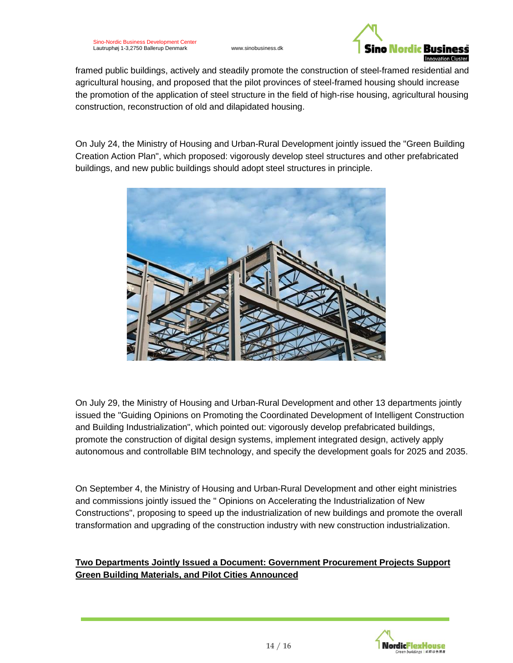

framed public buildings, actively and steadily promote the construction of steel-framed residential and agricultural housing, and proposed that the pilot provinces of steel-framed housing should increase the promotion of the application of steel structure in the field of high-rise housing, agricultural housing construction, reconstruction of old and dilapidated housing.

On July 24, the Ministry of Housing and Urban-Rural Development jointly issued the "Green Building Creation Action Plan", which proposed: vigorously develop steel structures and other prefabricated buildings, and new public buildings should adopt steel structures in principle.



On July 29, the Ministry of Housing and Urban-Rural Development and other 13 departments jointly issued the "Guiding Opinions on Promoting the Coordinated Development of Intelligent Construction and Building Industrialization", which pointed out: vigorously develop prefabricated buildings, promote the construction of digital design systems, implement integrated design, actively apply autonomous and controllable BIM technology, and specify the development goals for 2025 and 2035.

On September 4, the Ministry of Housing and Urban-Rural Development and other eight ministries and commissions jointly issued the " Opinions on Accelerating the Industrialization of New Constructions", proposing to speed up the industrialization of new buildings and promote the overall transformation and upgrading of the construction industry with new construction industrialization.

### **Two Departments Jointly Issued a Document: Government Procurement Projects Support Green Building Materials, and Pilot Cities Announced**

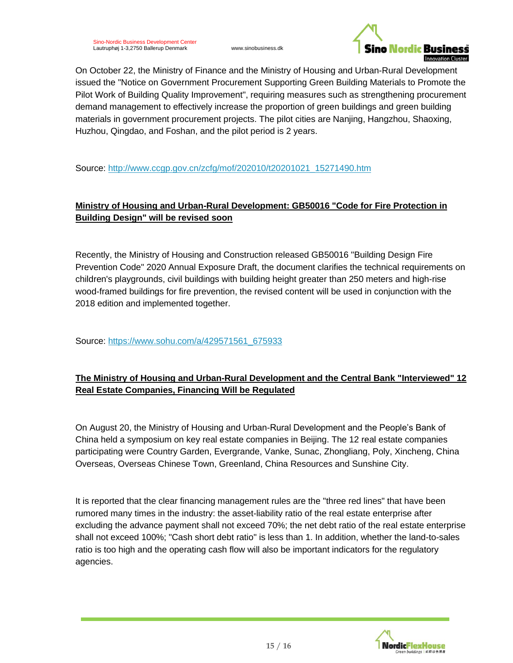

On October 22, the Ministry of Finance and the Ministry of Housing and Urban-Rural Development issued the "Notice on Government Procurement Supporting Green Building Materials to Promote the Pilot Work of Building Quality Improvement", requiring measures such as strengthening procurement demand management to effectively increase the proportion of green buildings and green building materials in government procurement projects. The pilot cities are Nanjing, Hangzhou, Shaoxing, Huzhou, Qingdao, and Foshan, and the pilot period is 2 years.

Source: [http://www.ccgp.gov.cn/zcfg/mof/202010/t20201021\\_15271490.htm](http://www.ccgp.gov.cn/zcfg/mof/202010/t20201021_15271490.htm)

# **Ministry of Housing and Urban-Rural Development: GB50016 "Code for Fire Protection in Building Design" will be revised soon**

Recently, the Ministry of Housing and Construction released GB50016 "Building Design Fire Prevention Code" 2020 Annual Exposure Draft, the document clarifies the technical requirements on children's playgrounds, civil buildings with building height greater than 250 meters and high-rise wood-framed buildings for fire prevention, the revised content will be used in conjunction with the 2018 edition and implemented together.

Source: [https://www.sohu.com/a/429571561\\_675933](https://www.sohu.com/a/429571561_675933)

# **The Ministry of Housing and Urban-Rural Development and the Central Bank "Interviewed" 12 Real Estate Companies, Financing Will be Regulated**

On August 20, the Ministry of Housing and Urban-Rural Development and the People's Bank of China held a symposium on key real estate companies in Beijing. The 12 real estate companies participating were Country Garden, Evergrande, Vanke, Sunac, Zhongliang, Poly, Xincheng, China Overseas, Overseas Chinese Town, Greenland, China Resources and Sunshine City.

It is reported that the clear financing management rules are the "three red lines" that have been rumored many times in the industry: the asset-liability ratio of the real estate enterprise after excluding the advance payment shall not exceed 70%; the net debt ratio of the real estate enterprise shall not exceed 100%; "Cash short debt ratio" is less than 1. In addition, whether the land-to-sales ratio is too high and the operating cash flow will also be important indicators for the regulatory agencies.